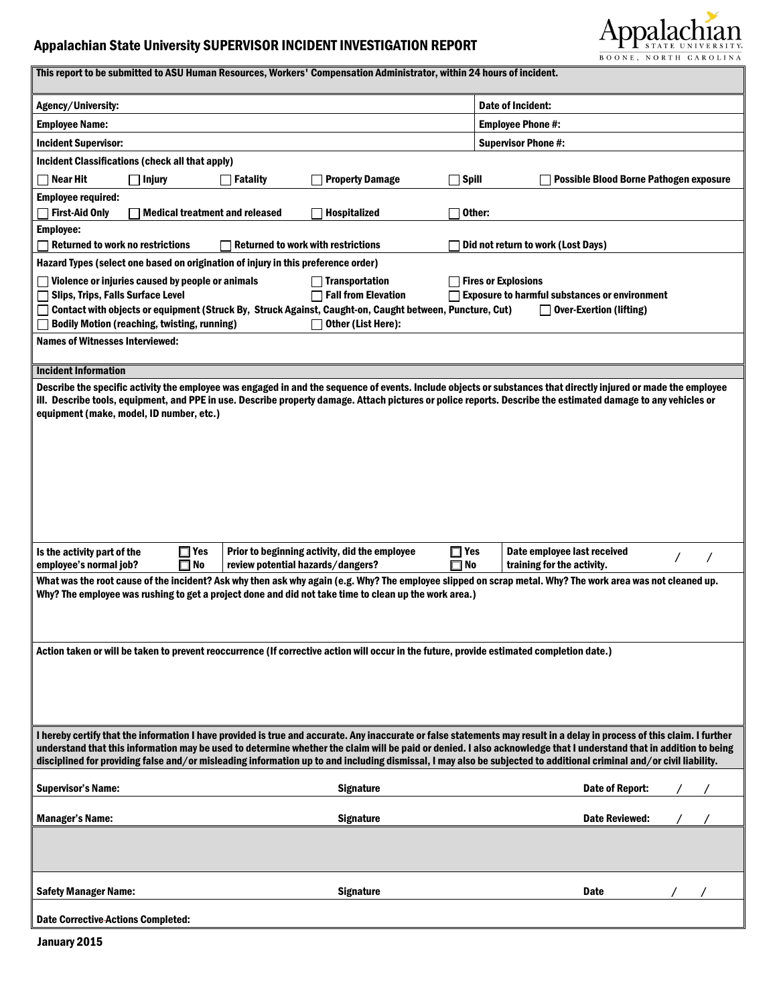## Appalachian State University SUPERVISOR INCIDENT INVESTIGATION REPORT



| This report to be submitted to ASU Human Resources, Workers' Compensation Administrator, within 24 hours of incident.                                                                                                                                                                                                                          |                                                                                        |  |  |  |  |  |
|------------------------------------------------------------------------------------------------------------------------------------------------------------------------------------------------------------------------------------------------------------------------------------------------------------------------------------------------|----------------------------------------------------------------------------------------|--|--|--|--|--|
| Agency/University:                                                                                                                                                                                                                                                                                                                             | Date of Incident:                                                                      |  |  |  |  |  |
| <b>Employee Name:</b>                                                                                                                                                                                                                                                                                                                          | <b>Employee Phone #:</b>                                                               |  |  |  |  |  |
| <b>Incident Supervisor:</b>                                                                                                                                                                                                                                                                                                                    | <b>Supervisor Phone #:</b>                                                             |  |  |  |  |  |
| Incident Classifications (check all that apply)                                                                                                                                                                                                                                                                                                |                                                                                        |  |  |  |  |  |
| Near Hit<br><b>Property Damage</b><br>Spill<br>  Injury<br>  Fatality                                                                                                                                                                                                                                                                          | <b>Possible Blood Borne Pathogen exposure</b>                                          |  |  |  |  |  |
| <b>Employee required:</b>                                                                                                                                                                                                                                                                                                                      |                                                                                        |  |  |  |  |  |
| <b>First-Aid Only</b><br><b>Medical treatment and released</b><br><b>Hospitalized</b>                                                                                                                                                                                                                                                          | Other:                                                                                 |  |  |  |  |  |
| Employee:                                                                                                                                                                                                                                                                                                                                      |                                                                                        |  |  |  |  |  |
| <b>Returned to work no restrictions</b><br><b>Returned to work with restrictions</b>                                                                                                                                                                                                                                                           | Did not return to work (Lost Days)                                                     |  |  |  |  |  |
| Hazard Types (select one based on origination of injury in this preference order)                                                                                                                                                                                                                                                              |                                                                                        |  |  |  |  |  |
| Violence or injuries caused by people or animals<br><b>Transportation</b>                                                                                                                                                                                                                                                                      | <b>Fires or Explosions</b>                                                             |  |  |  |  |  |
| <b>Fall from Elevation</b><br><b>Slips, Trips, Falls Surface Level</b><br>Contact with objects or equipment (Struck By, Struck Against, Caught-on, Caught between, Puncture, Cut)                                                                                                                                                              | <b>Exposure to harmful substances or environment</b><br><b>Over-Exertion (lifting)</b> |  |  |  |  |  |
| <b>Bodily Motion (reaching, twisting, running)</b><br>Other (List Here):                                                                                                                                                                                                                                                                       |                                                                                        |  |  |  |  |  |
| <b>Names of Witnesses Interviewed:</b>                                                                                                                                                                                                                                                                                                         |                                                                                        |  |  |  |  |  |
|                                                                                                                                                                                                                                                                                                                                                |                                                                                        |  |  |  |  |  |
| <b>Incident Information</b>                                                                                                                                                                                                                                                                                                                    |                                                                                        |  |  |  |  |  |
| Describe the specific activity the employee was engaged in and the sequence of events. Include objects or substances that directly injured or made the employee                                                                                                                                                                                |                                                                                        |  |  |  |  |  |
| ill. Describe tools, equipment, and PPE in use. Describe property damage. Attach pictures or police reports. Describe the estimated damage to any vehicles or<br>equipment (make, model, ID number, etc.)                                                                                                                                      |                                                                                        |  |  |  |  |  |
|                                                                                                                                                                                                                                                                                                                                                |                                                                                        |  |  |  |  |  |
|                                                                                                                                                                                                                                                                                                                                                |                                                                                        |  |  |  |  |  |
|                                                                                                                                                                                                                                                                                                                                                |                                                                                        |  |  |  |  |  |
|                                                                                                                                                                                                                                                                                                                                                |                                                                                        |  |  |  |  |  |
|                                                                                                                                                                                                                                                                                                                                                |                                                                                        |  |  |  |  |  |
|                                                                                                                                                                                                                                                                                                                                                |                                                                                        |  |  |  |  |  |
|                                                                                                                                                                                                                                                                                                                                                |                                                                                        |  |  |  |  |  |
| $\Box$ Yes<br>$\Box$ Yes<br>Is the activity part of the<br>Prior to beginning activity, did the employee                                                                                                                                                                                                                                       | Date employee last received                                                            |  |  |  |  |  |
| $\square$ No<br>$\square$ No<br>employee's normal job?<br>review potential hazards/dangers?                                                                                                                                                                                                                                                    | training for the activity.                                                             |  |  |  |  |  |
| What was the root cause of the incident? Ask why then ask why again (e.g. Why? The employee slipped on scrap metal. Why? The work area was not cleaned up.                                                                                                                                                                                     |                                                                                        |  |  |  |  |  |
| Why? The employee was rushing to get a project done and did not take time to clean up the work area.)                                                                                                                                                                                                                                          |                                                                                        |  |  |  |  |  |
|                                                                                                                                                                                                                                                                                                                                                |                                                                                        |  |  |  |  |  |
|                                                                                                                                                                                                                                                                                                                                                |                                                                                        |  |  |  |  |  |
| Action taken or will be taken to prevent reoccurrence (If corrective action will occur in the future, provide estimated completion date.)                                                                                                                                                                                                      |                                                                                        |  |  |  |  |  |
|                                                                                                                                                                                                                                                                                                                                                |                                                                                        |  |  |  |  |  |
|                                                                                                                                                                                                                                                                                                                                                |                                                                                        |  |  |  |  |  |
|                                                                                                                                                                                                                                                                                                                                                |                                                                                        |  |  |  |  |  |
|                                                                                                                                                                                                                                                                                                                                                |                                                                                        |  |  |  |  |  |
| I hereby certify that the information I have provided is true and accurate. Any inaccurate or false statements may result in a delay in process of this claim. I further<br>understand that this information may be used to determine whether the claim will be paid or denied. I also acknowledge that I understand that in addition to being |                                                                                        |  |  |  |  |  |
| disciplined for providing false and/or misleading information up to and including dismissal, I may also be subjected to additional criminal and/or civil liability.                                                                                                                                                                            |                                                                                        |  |  |  |  |  |
|                                                                                                                                                                                                                                                                                                                                                |                                                                                        |  |  |  |  |  |
| <b>Supervisor's Name:</b><br><b>Signature</b>                                                                                                                                                                                                                                                                                                  | Date of Report:                                                                        |  |  |  |  |  |
| <b>Manager's Name:</b><br><b>Signature</b>                                                                                                                                                                                                                                                                                                     | <b>Date Reviewed:</b>                                                                  |  |  |  |  |  |
|                                                                                                                                                                                                                                                                                                                                                |                                                                                        |  |  |  |  |  |
|                                                                                                                                                                                                                                                                                                                                                |                                                                                        |  |  |  |  |  |
|                                                                                                                                                                                                                                                                                                                                                |                                                                                        |  |  |  |  |  |
|                                                                                                                                                                                                                                                                                                                                                |                                                                                        |  |  |  |  |  |
| <b>Safety Manager Name:</b><br><b>Signature</b>                                                                                                                                                                                                                                                                                                | Date                                                                                   |  |  |  |  |  |
| <b>Date Corrective-Actions Completed:</b>                                                                                                                                                                                                                                                                                                      |                                                                                        |  |  |  |  |  |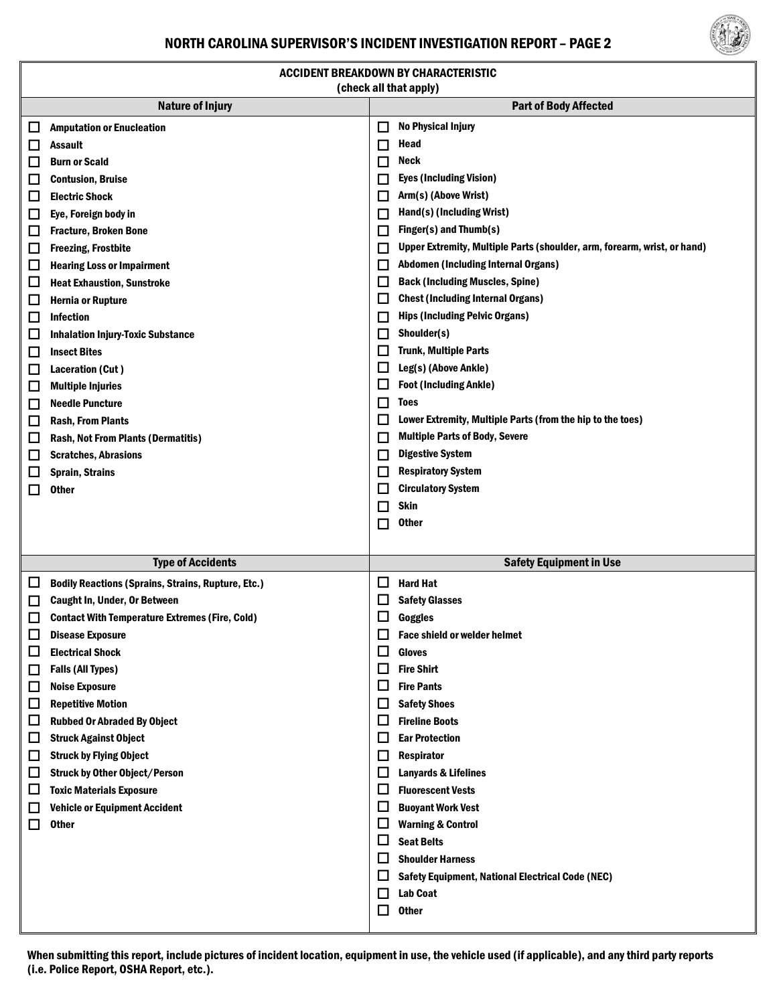#### NORTH CAROLINA SUPERVISOR'S INCIDENT INVESTIGATION REPORT – PAGE 2



| <b>ACCIDENT BREAKDOWN BY CHARACTERISTIC</b><br>(check all that apply) |                                                           |                              |                                                                          |  |  |
|-----------------------------------------------------------------------|-----------------------------------------------------------|------------------------------|--------------------------------------------------------------------------|--|--|
| <b>Nature of Injury</b>                                               |                                                           | <b>Part of Body Affected</b> |                                                                          |  |  |
| ⊔                                                                     | <b>Amputation or Enucleation</b>                          | $\Box$                       | <b>No Physical Injury</b>                                                |  |  |
| ப                                                                     | Assault                                                   | $\Box$                       | Head                                                                     |  |  |
| ப                                                                     | <b>Burn or Scald</b>                                      | □                            | Neck                                                                     |  |  |
| $\Box$                                                                | <b>Contusion, Bruise</b>                                  | $\Box$                       | <b>Eyes (Including Vision)</b>                                           |  |  |
| ப                                                                     | <b>Electric Shock</b>                                     | L                            | Arm(s) (Above Wrist)                                                     |  |  |
| ы                                                                     | Eye, Foreign body in                                      | E                            | Hand(s) (Including Wrist)                                                |  |  |
| □                                                                     | <b>Fracture, Broken Bone</b>                              | $\Box$                       | Finger(s) and Thumb(s)                                                   |  |  |
| □                                                                     | <b>Freezing, Frostbite</b>                                | $\Box$                       | Upper Extremity, Multiple Parts (shoulder, arm, forearm, wrist, or hand) |  |  |
| $\Box$                                                                | <b>Hearing Loss or Impairment</b>                         | L                            | Abdomen (Including Internal Organs)                                      |  |  |
| ப                                                                     | <b>Heat Exhaustion, Sunstroke</b>                         | $\Box$                       | <b>Back (Including Muscles, Spine)</b>                                   |  |  |
| $\Box$                                                                | <b>Hernia or Rupture</b>                                  | ப                            | <b>Chest (Including Internal Organs)</b>                                 |  |  |
| $\Box$                                                                | <b>Infection</b>                                          | $\Box$                       | <b>Hips (Including Pelvic Organs)</b>                                    |  |  |
| $\Box$                                                                | <b>Inhalation Injury-Toxic Substance</b>                  | L                            | Shoulder(s)                                                              |  |  |
| $\Box$                                                                | <b>Insect Bites</b>                                       | $\Box$                       | <b>Trunk, Multiple Parts</b>                                             |  |  |
| □                                                                     | Laceration (Cut)                                          | ப                            | Leg(s) (Above Ankle)                                                     |  |  |
| Ц                                                                     | <b>Multiple Injuries</b>                                  | $\Box$                       | <b>Foot (Including Ankle)</b>                                            |  |  |
| ப                                                                     | <b>Needle Puncture</b>                                    | $\Box$                       | Toes                                                                     |  |  |
| □                                                                     | <b>Rash, From Plants</b>                                  | E                            | Lower Extremity, Multiple Parts (from the hip to the toes)               |  |  |
| □                                                                     | <b>Rash, Not From Plants (Dermatitis)</b>                 | $\Box$                       | <b>Multiple Parts of Body, Severe</b>                                    |  |  |
| $\Box$                                                                | <b>Scratches, Abrasions</b>                               | L                            | <b>Digestive System</b>                                                  |  |  |
| □                                                                     | <b>Sprain, Strains</b>                                    | $\Box$                       | <b>Respiratory System</b>                                                |  |  |
| □                                                                     | <b>Other</b>                                              | $\Box$                       | <b>Circulatory System</b>                                                |  |  |
|                                                                       |                                                           | $\Box$                       | <b>Skin</b>                                                              |  |  |
|                                                                       |                                                           |                              | <b>Other</b>                                                             |  |  |
|                                                                       |                                                           | □                            |                                                                          |  |  |
|                                                                       |                                                           |                              |                                                                          |  |  |
|                                                                       | <b>Type of Accidents</b>                                  |                              | <b>Safety Equipment in Use</b>                                           |  |  |
| ப                                                                     | <b>Bodily Reactions (Sprains, Strains, Rupture, Etc.)</b> | Ц                            | <b>Hard Hat</b>                                                          |  |  |
| ப                                                                     | <b>Caught In, Under, Or Between</b>                       | $\Box$                       | <b>Safety Glasses</b>                                                    |  |  |
| ப                                                                     | <b>Contact With Temperature Extremes (Fire, Cold)</b>     | $\Box$                       | <b>Goggles</b>                                                           |  |  |
| $\Box$                                                                | <b>Disease Exposure</b>                                   |                              | $\Box$ Face shield or welder helmet                                      |  |  |
| □                                                                     | <b>Electrical Shock</b>                                   | $\Box$                       | <b>Gloves</b>                                                            |  |  |
| □                                                                     | <b>Falls (All Types)</b>                                  | $\Box$                       | <b>Fire Shirt</b>                                                        |  |  |
| ப                                                                     | <b>Noise Exposure</b>                                     | $\Box$                       | <b>Fire Pants</b>                                                        |  |  |
| $\Box$                                                                | <b>Repetitive Motion</b>                                  | $\Box$                       | <b>Safety Shoes</b>                                                      |  |  |
| Ц                                                                     | <b>Rubbed Or Abraded By Object</b>                        | $\Box$                       | <b>Fireline Boots</b>                                                    |  |  |
| $\Box$                                                                | <b>Struck Against Object</b>                              | $\Box$                       | <b>Ear Protection</b>                                                    |  |  |
| □                                                                     | <b>Struck by Flying Object</b>                            | □                            | <b>Respirator</b>                                                        |  |  |
| ப                                                                     | <b>Struck by Other Object/Person</b>                      | $\Box$                       | <b>Lanyards &amp; Lifelines</b>                                          |  |  |
| ப                                                                     | <b>Toxic Materials Exposure</b>                           | $\Box$                       | <b>Fluorescent Vests</b>                                                 |  |  |
| ப                                                                     | <b>Vehicle or Equipment Accident</b>                      | $\Box$                       | <b>Buoyant Work Vest</b>                                                 |  |  |
| □                                                                     | <b>Other</b>                                              | ш                            | <b>Warning &amp; Control</b>                                             |  |  |
|                                                                       |                                                           | $\Box$                       | <b>Seat Belts</b>                                                        |  |  |
|                                                                       |                                                           | $\Box$                       | <b>Shoulder Harness</b>                                                  |  |  |
|                                                                       |                                                           | $\Box$                       | <b>Safety Equipment, National Electrical Code (NEC)</b>                  |  |  |
|                                                                       |                                                           | $\Box$                       | <b>Lab Coat</b>                                                          |  |  |
|                                                                       |                                                           | $\Box$                       | <b>Other</b>                                                             |  |  |

When submitting this report, include pictures of incident location, equipment in use, the vehicle used (if applicable), and any third party reports (i.e. Police Report, OSHA Report, etc.).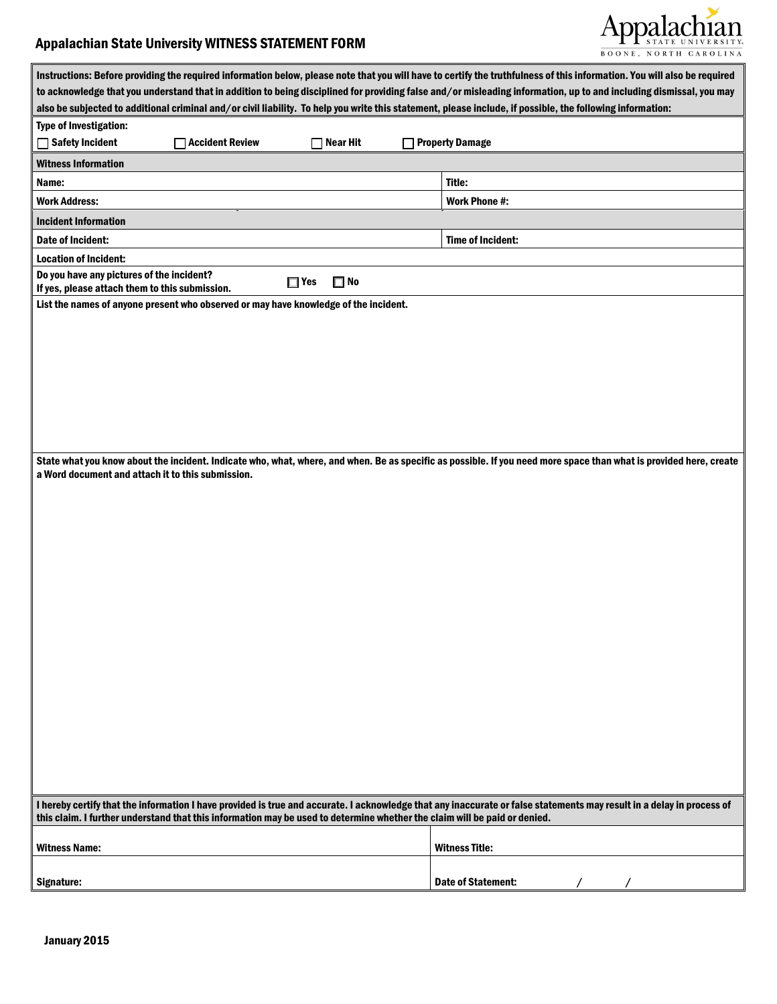### Appalachian State University WITNESS STATEMENT FORM



| Instructions: Before providing the required information below, please note that you will have to certify the truthfulness of this information. You will also be required                                                                                                                                                         |                           |  |  |  |
|----------------------------------------------------------------------------------------------------------------------------------------------------------------------------------------------------------------------------------------------------------------------------------------------------------------------------------|---------------------------|--|--|--|
| to acknowledge that you understand that in addition to being disciplined for providing false and/or misleading information, up to and including dismissal, you may<br>also be subjected to additional criminal and/or civil liability. To help you write this statement, please include, if possible, the following information: |                           |  |  |  |
| <b>Type of Investigation:</b>                                                                                                                                                                                                                                                                                                    |                           |  |  |  |
| <b>Safety Incident</b><br><b>Accident Review</b><br><b>Near Hit</b>                                                                                                                                                                                                                                                              | <b>Property Damage</b>    |  |  |  |
| <b>Witness Information</b>                                                                                                                                                                                                                                                                                                       |                           |  |  |  |
| Name:                                                                                                                                                                                                                                                                                                                            | Title:                    |  |  |  |
| <b>Work Address:</b>                                                                                                                                                                                                                                                                                                             | Work Phone #:             |  |  |  |
| <b>Incident Information</b>                                                                                                                                                                                                                                                                                                      |                           |  |  |  |
| Date of Incident:                                                                                                                                                                                                                                                                                                                | Time of Incident:         |  |  |  |
| <b>Location of Incident:</b>                                                                                                                                                                                                                                                                                                     |                           |  |  |  |
| Do you have any pictures of the incident?<br>$\Box$ Yes<br>$\square$ No<br>If yes, please attach them to this submission.                                                                                                                                                                                                        |                           |  |  |  |
| List the names of anyone present who observed or may have knowledge of the incident.                                                                                                                                                                                                                                             |                           |  |  |  |
|                                                                                                                                                                                                                                                                                                                                  |                           |  |  |  |
|                                                                                                                                                                                                                                                                                                                                  |                           |  |  |  |
|                                                                                                                                                                                                                                                                                                                                  |                           |  |  |  |
|                                                                                                                                                                                                                                                                                                                                  |                           |  |  |  |
|                                                                                                                                                                                                                                                                                                                                  |                           |  |  |  |
|                                                                                                                                                                                                                                                                                                                                  |                           |  |  |  |
|                                                                                                                                                                                                                                                                                                                                  |                           |  |  |  |
|                                                                                                                                                                                                                                                                                                                                  |                           |  |  |  |
| State what you know about the incident. Indicate who, what, where, and when. Be as specific as possible. If you need more space than what is provided here, create<br>a Word document and attach it to this submission.                                                                                                          |                           |  |  |  |
|                                                                                                                                                                                                                                                                                                                                  |                           |  |  |  |
|                                                                                                                                                                                                                                                                                                                                  |                           |  |  |  |
|                                                                                                                                                                                                                                                                                                                                  |                           |  |  |  |
|                                                                                                                                                                                                                                                                                                                                  |                           |  |  |  |
|                                                                                                                                                                                                                                                                                                                                  |                           |  |  |  |
|                                                                                                                                                                                                                                                                                                                                  |                           |  |  |  |
|                                                                                                                                                                                                                                                                                                                                  |                           |  |  |  |
|                                                                                                                                                                                                                                                                                                                                  |                           |  |  |  |
|                                                                                                                                                                                                                                                                                                                                  |                           |  |  |  |
|                                                                                                                                                                                                                                                                                                                                  |                           |  |  |  |
|                                                                                                                                                                                                                                                                                                                                  |                           |  |  |  |
|                                                                                                                                                                                                                                                                                                                                  |                           |  |  |  |
|                                                                                                                                                                                                                                                                                                                                  |                           |  |  |  |
|                                                                                                                                                                                                                                                                                                                                  |                           |  |  |  |
|                                                                                                                                                                                                                                                                                                                                  |                           |  |  |  |
|                                                                                                                                                                                                                                                                                                                                  |                           |  |  |  |
|                                                                                                                                                                                                                                                                                                                                  |                           |  |  |  |
|                                                                                                                                                                                                                                                                                                                                  |                           |  |  |  |
| I hereby certify that the information I have provided is true and accurate. I acknowledge that any inaccurate or false statements may result in a delay in process of<br>this claim. I further understand that this information may be used to determine whether the claim will be paid or denied.                               |                           |  |  |  |
| <b>Witness Name:</b>                                                                                                                                                                                                                                                                                                             | <b>Witness Title:</b>     |  |  |  |
|                                                                                                                                                                                                                                                                                                                                  |                           |  |  |  |
| Signature:                                                                                                                                                                                                                                                                                                                       | <b>Date of Statement:</b> |  |  |  |